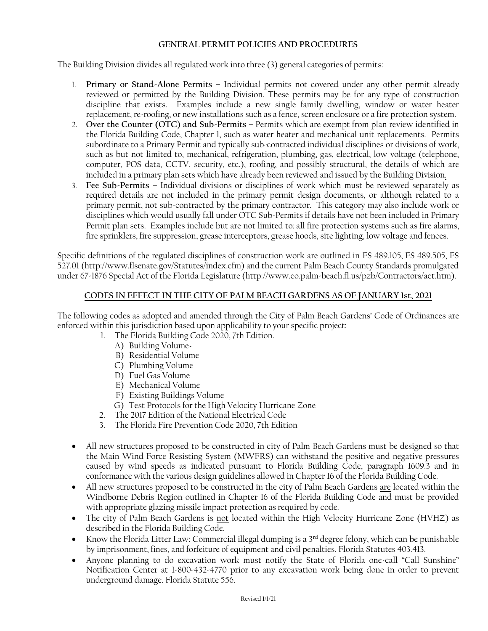## **GENERAL PERMIT POLICIES AND PROCEDURES**

The Building Division divides all regulated work into three (3) general categories of permits:

- 1. **Primary or Stand-Alone Permits** Individual permits not covered under any other permit already reviewed or permitted by the Building Division. These permits may be for any type of construction discipline that exists. Examples include a new single family dwelling, window or water heater replacement, re-roofing, or new installations such as a fence, screen enclosure or a fire protection system.
- 2. **Over the Counter (OTC) and Sub-Permits** Permits which are exempt from plan review identified in the Florida Building Code, Chapter 1, such as water heater and mechanical unit replacements. Permits subordinate to a Primary Permit and typically sub-contracted individual disciplines or divisions of work, such as but not limited to, mechanical, refrigeration, plumbing, gas, electrical, low voltage (telephone, computer, POS data, CCTV, security, etc.), roofing, and possibly structural, the details of which are included in a primary plan sets which have already been reviewed and issued by the Building Division*.*
- 3. **Fee Sub-Permits –** Individual divisions or disciplines of work which must be reviewed separately as required details are not included in the primary permit design documents, or although related to a primary permit, not sub-contracted by the primary contractor. This category may also include work or disciplines which would usually fall under OTC Sub-Permits if details have not been included in Primary Permit plan sets. Examples include but are not limited to*:* all fire protection systems such as fire alarms, fire sprinklers, fire suppression, grease interceptors, grease hoods, site lighting, low voltage and fences.

Specific definitions of the regulated disciplines of construction work are outlined in FS 489.105, FS 489.505, FS 527.01 (http://www.flsenate.gov/Statutes/index.cfm) and the current Palm Beach County Standards promulgated under 67-1876 Special Act of the Florida Legislature (http://www.co.palm-beach.fl.us/pzb/Contractors/act.htm).

## **CODES IN EFFECT IN THE CITY OF PALM BEACH GARDENS AS OF JANUARY 1st, 2021**

The following codes as adopted and amended through the City of Palm Beach Gardens' Code of Ordinances are enforced within this jurisdiction based upon applicability to your specific project:

- 1. The Florida Building Code 2020, 7th Edition.
	- A) Building Volume~
	- B) Residential Volume
	- C) Plumbing Volume
	- D) Fuel Gas Volume
	- E) Mechanical Volume
	- F) Existing Buildings Volume
	- G) Test Protocols for the High Velocity Hurricane Zone
- 2. The 2017 Edition of the National Electrical Code
- 3. The Florida Fire Prevention Code 2020, 7th Edition
- All new structures proposed to be constructed in city of Palm Beach Gardens must be designed so that the Main Wind Force Resisting System (MWFRS) can withstand the positive and negative pressures caused by wind speeds as indicated pursuant to Florida Building Code, paragraph 1609.3 and in conformance with the various design guidelines allowed in Chapter 16 of the Florida Building Code.
- All new structures proposed to be constructed in the city of Palm Beach Gardens are located within the Windborne Debris Region outlined in Chapter 16 of the Florida Building Code and must be provided with appropriate glazing missile impact protection as required by code.
- The city of Palm Beach Gardens is not located within the High Velocity Hurricane Zone (HVHZ) as described in the Florida Building Code.
- Know the Florida Litter Law: Commercial illegal dumping is a 3rd degree felony, which can be punishable by imprisonment, fines, and forfeiture of equipment and civil penalties. Florida Statutes 403.413.
- Anyone planning to do excavation work must notify the State of Florida one-call "Call Sunshine" Notification Center at 1-800-432-4770 prior to any excavation work being done in order to prevent underground damage. Florida Statute 556.